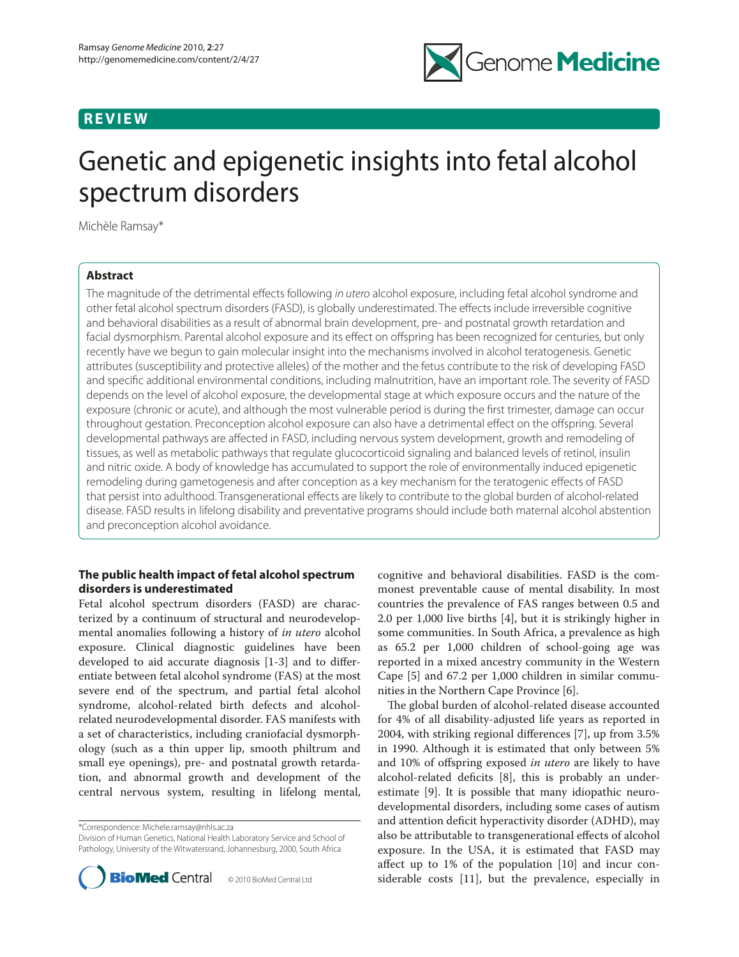## **REVIEW**



# Genetic and epigenetic insights into fetal alcohol spectrum disorders

Michèle Ramsay\*

## **Abstract**

The magnitude of the detrimental effects following *in utero* alcohol exposure, including fetal alcohol syndrome and other fetal alcohol spectrum disorders (FASD), is globally underestimated. The effects include irreversible cognitive and behavioral disabilities as a result of abnormal brain development, pre- and postnatal growth retardation and facial dysmorphism. Parental alcohol exposure and its effect on offspring has been recognized for centuries, but only recently have we begun to gain molecular insight into the mechanisms involved in alcohol teratogenesis. Genetic attributes (susceptibility and protective alleles) of the mother and the fetus contribute to the risk of developing FASD and specific additional environmental conditions, including malnutrition, have an important role. The severity of FASD depends on the level of alcohol exposure, the developmental stage at which exposure occurs and the nature of the exposure (chronic or acute), and although the most vulnerable period is during the first trimester, damage can occur throughout gestation. Preconception alcohol exposure can also have a detrimental effect on the offspring. Several developmental pathways are affected in FASD, including nervous system development, growth and remodeling of tissues, as well as metabolic pathways that regulate glucocorticoid signaling and balanced levels of retinol, insulin and nitric oxide. A body of knowledge has accumulated to support the role of environmentally induced epigenetic remodeling during gametogenesis and after conception as a key mechanism for the teratogenic effects of FASD that persist into adulthood. Transgenerational effects are likely to contribute to the global burden of alcohol-related disease. FASD results in lifelong disability and preventative programs should include both maternal alcohol abstention and preconception alcohol avoidance.

## **The public health impact of fetal alcohol spectrum disorders is underestimated**

Fetal alcohol spectrum disorders (FASD) are characterized by a continuum of structural and neurodevelopmental anomalies following a history of *in utero* alcohol exposure. Clinical diagnostic guidelines have been developed to aid accurate diagnosis [1-3] and to differentiate between fetal alcohol syndrome (FAS) at the most severe end of the spectrum, and partial fetal alcohol syndrome, alcohol-related birth defects and alcoholrelated neurodevelopmental disorder. FAS manifests with a set of characteristics, including craniofacial dysmorphology (such as a thin upper lip, smooth philtrum and small eye openings), pre- and postnatal growth retardation, and abnormal growth and development of the central nervous system, resulting in lifelong mental,

\*Correspondence: Michele.ramsay@nhls.ac.za

Division of Human Genetics, National Health Laboratory Service and School of Pathology, University of the Witwatersrand, Johannesburg, 2000, South Africa



cognitive and behavioral disabilities. FASD is the commonest preventable cause of mental disability. In most countries the prevalence of FAS ranges between 0.5 and 2.0 per 1,000 live births [4], but it is strikingly higher in some communities. In South Africa, a prevalence as high as 65.2 per 1,000 children of school-going age was reported in a mixed ancestry community in the Western Cape [5] and 67.2 per 1,000 children in similar communities in the Northern Cape Province [6].

The global burden of alcohol-related disease accounted for 4% of all disability-adjusted life years as reported in 2004, with striking regional differences [7], up from 3.5% in 1990. Although it is estimated that only between 5% and 10% of offspring exposed *in utero* are likely to have alcohol-related deficits [8], this is probably an underestimate [9]. It is possible that many idiopathic neurodevelopmental disorders, including some cases of autism and attention deficit hyperactivity disorder (ADHD), may also be attributable to transgenerational effects of alcohol exposure. In the USA, it is estimated that FASD may affect up to 1% of the population [10] and incur considerable costs [11], but the prevalence, especially in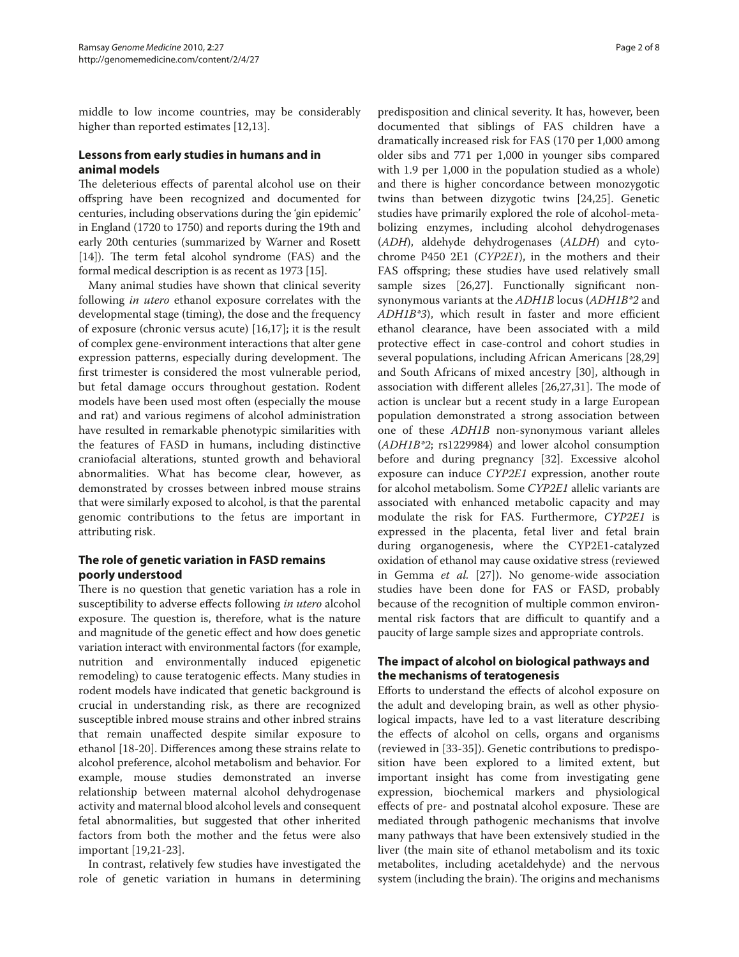middle to low income countries, may be considerably higher than reported estimates [12,13].

## **Lessons from early studies in humans and in animal models**

The deleterious effects of parental alcohol use on their offspring have been recognized and documented for centuries, including observations during the 'gin epidemic' in England (1720 to 1750) and reports during the 19th and early 20th centuries (summarized by Warner and Rosett [14]). The term fetal alcohol syndrome (FAS) and the formal medical description is as recent as 1973 [15].

Many animal studies have shown that clinical severity following *in utero* ethanol exposure correlates with the developmental stage (timing), the dose and the frequency of exposure (chronic versus acute) [16,17]; it is the result of complex gene-environment interactions that alter gene expression patterns, especially during development. The first trimester is considered the most vulnerable period, but fetal damage occurs throughout gestation. Rodent models have been used most often (especially the mouse and rat) and various regimens of alcohol administration have resulted in remarkable phenotypic similarities with the features of FASD in humans, including distinctive craniofacial alterations, stunted growth and behavioral abnormalities. What has become clear, however, as demonstrated by crosses between inbred mouse strains that were similarly exposed to alcohol, is that the parental genomic contributions to the fetus are important in attributing risk.

## **The role of genetic variation in FASD remains poorly understood**

There is no question that genetic variation has a role in susceptibility to adverse effects following *in utero* alcohol exposure. The question is, therefore, what is the nature and magnitude of the genetic effect and how does genetic variation interact with environmental factors (for example, nutrition and environmentally induced epigenetic remodeling) to cause teratogenic effects. Many studies in rodent models have indicated that genetic background is crucial in understanding risk, as there are recognized susceptible inbred mouse strains and other inbred strains that remain unaffected despite similar exposure to ethanol [18-20]. Differences among these strains relate to alcohol preference, alcohol metabolism and behavior. For example, mouse studies demonstrated an inverse relationship between maternal alcohol dehydrogenase activity and maternal blood alcohol levels and consequent fetal abnormalities, but suggested that other inherited factors from both the mother and the fetus were also important [19,21-23].

In contrast, relatively few studies have investigated the role of genetic variation in humans in determining predisposition and clinical severity. It has, however, been documented that siblings of FAS children have a dramatically increased risk for FAS (170 per 1,000 among older sibs and 771 per 1,000 in younger sibs compared with 1.9 per 1,000 in the population studied as a whole) and there is higher concordance between monozygotic twins than between dizygotic twins [24,25]. Genetic studies have primarily explored the role of alcohol-metabolizing enzymes, including alcohol dehydrogenases (*ADH*), aldehyde dehydrogenases (*ALDH*) and cytochrome P450 2E1 (*CYP2E1*), in the mothers and their FAS offspring; these studies have used relatively small sample sizes [26,27]. Functionally significant nonsynonymous variants at the *ADH1B* locus (*ADH1B\*2* and *ADH1B\*3*), which result in faster and more efficient ethanol clearance, have been associated with a mild protective effect in case-control and cohort studies in several populations, including African Americans [28,29] and South Africans of mixed ancestry [30], although in association with different alleles [26,27,31]. The mode of action is unclear but a recent study in a large European population demonstrated a strong association between one of these *ADH1B* non-synonymous variant alleles (*ADH1B\*2*; rs1229984) and lower alcohol consumption before and during pregnancy [32]. Excessive alcohol exposure can induce *CYP2E1* expression, another route for alcohol metabolism. Some *CYP2E1* allelic variants are associated with enhanced metabolic capacity and may modulate the risk for FAS. Furthermore, *CYP2E1* is expressed in the placenta, fetal liver and fetal brain during organogenesis, where the CYP2E1-catalyzed oxidation of ethanol may cause oxidative stress (reviewed in Gemma *et al.* [27]). No genome-wide association studies have been done for FAS or FASD, probably because of the recognition of multiple common environmental risk factors that are difficult to quantify and a paucity of large sample sizes and appropriate controls.

## **The impact of alcohol on biological pathways and the mechanisms of teratogenesis**

Efforts to understand the effects of alcohol exposure on the adult and developing brain, as well as other physiological impacts, have led to a vast literature describing the effects of alcohol on cells, organs and organisms (reviewed in [33-35]). Genetic contributions to predisposition have been explored to a limited extent, but important insight has come from investigating gene expression, biochemical markers and physiological effects of pre- and postnatal alcohol exposure. These are mediated through pathogenic mechanisms that involve many pathways that have been extensively studied in the liver (the main site of ethanol metabolism and its toxic metabolites, including acetaldehyde) and the nervous system (including the brain). The origins and mechanisms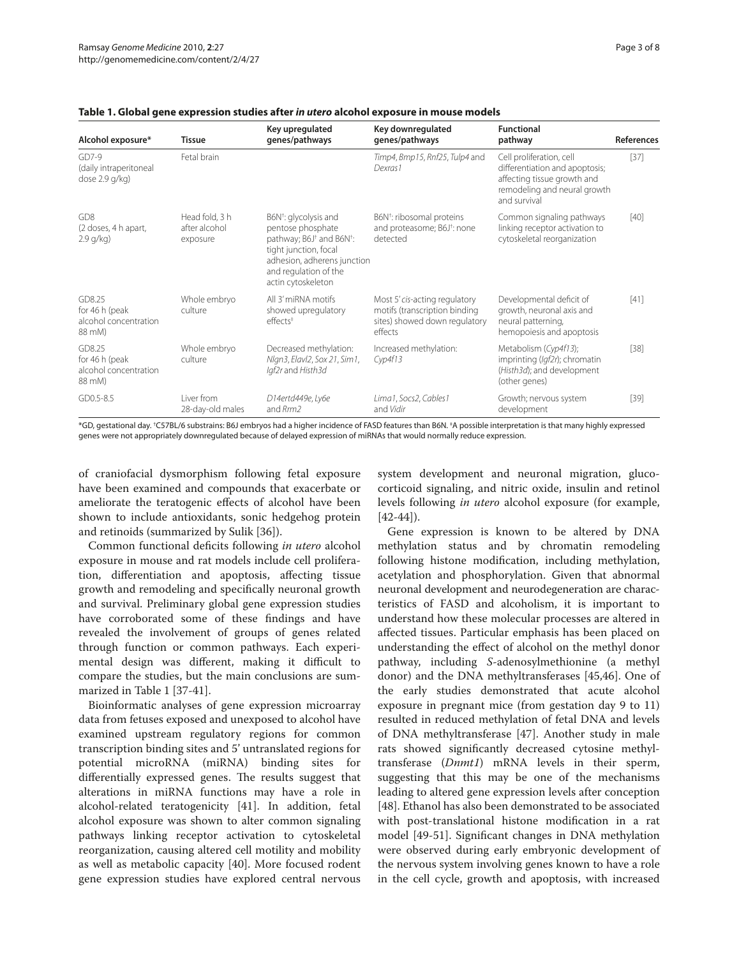| Alcohol exposure*                                           | <b>Tissue</b>                               | Key upregulated<br>genes/pathways                                                                                                                                                                                 | Key downregulated<br>genes/pathways                                                                        | <b>Functional</b><br>pathway                                                                                                              | References |
|-------------------------------------------------------------|---------------------------------------------|-------------------------------------------------------------------------------------------------------------------------------------------------------------------------------------------------------------------|------------------------------------------------------------------------------------------------------------|-------------------------------------------------------------------------------------------------------------------------------------------|------------|
| $GD7-9$<br>(daily intraperitoneal<br>dose $2.9$ g/kg)       | Fetal brain                                 |                                                                                                                                                                                                                   | Timp4, Bmp15, Rnf25, Tulp4 and<br>Dexras1                                                                  | Cell proliferation, cell<br>differentiation and apoptosis;<br>affecting tissue growth and<br>remodeling and neural growth<br>and survival | [37]       |
| G <sub>D</sub> 8<br>(2 doses, 4 h apart,<br>$2.9$ g/kg)     | Head fold, 3 h<br>after alcohol<br>exposure | B6N <sup>+</sup> : glycolysis and<br>pentose phosphate<br>pathway; B6J <sup>+</sup> and B6N <sup>+</sup> :<br>tight junction, focal<br>adhesion, adherens junction<br>and regulation of the<br>actin cytoskeleton | B6N <sup>+</sup> : ribosomal proteins<br>and proteasome; B6J <sup>+</sup> : none<br>detected               | Common signaling pathways<br>linking receptor activation to<br>cytoskeletal reorganization                                                | $[40]$     |
| GD8.25<br>for 46 h (peak<br>alcohol concentration<br>88 mM) | Whole embryo<br>culture                     | All 3' miRNA motifs<br>showed upregulatory<br>effects <sup>#</sup>                                                                                                                                                | Most 5' cis-acting regulatory<br>motifs (transcription binding<br>sites) showed down regulatory<br>effects | Developmental deficit of<br>growth, neuronal axis and<br>neural patterning,<br>hemopoiesis and apoptosis                                  | $[41]$     |
| GD8.25<br>for 46 h (peak<br>alcohol concentration<br>88 mM) | Whole embryo<br>culture                     | Decreased methylation:<br>Nlgn3, Elavl2, Sox 21, Sim1,<br>lgf2r and Histh3d                                                                                                                                       | Increased methylation:<br>Cyp4f13                                                                          | Metabolism (Cyp4f13);<br>imprinting (lgf2r); chromatin<br>(Histh3d); and development<br>(other genes)                                     | $[38]$     |
| $GD0.5 - 8.5$                                               | I iver from<br>28-day-old males             | D14ertd449e, Ly6e<br>and Rrm <sub>2</sub>                                                                                                                                                                         | Lima1, Socs2, Cables1<br>and Vidir                                                                         | Growth; nervous system<br>development                                                                                                     | $[39]$     |

\*GD, gestational day. † C57BL/6 substrains: B6J embryos had a higher incidence of FASD features than B6N. ‡ A possible interpretation is that many highly expressed genes were not appropriately downregulated because of delayed expression of miRNAs that would normally reduce expression.

of craniofacial dysmorphism following fetal exposure have been examined and compounds that exacerbate or ameliorate the teratogenic effects of alcohol have been shown to include antioxidants, sonic hedgehog protein and retinoids (summarized by Sulik [36]).

Common functional deficits following *in utero* alcohol exposure in mouse and rat models include cell proliferation, differentiation and apoptosis, affecting tissue growth and remodeling and specifically neuronal growth and survival. Preliminary global gene expression studies have corroborated some of these findings and have revealed the involvement of groups of genes related through function or common pathways. Each experimental design was different, making it difficult to compare the studies, but the main conclusions are summarized in Table 1 [37-41].

Bioinformatic analyses of gene expression microarray data from fetuses exposed and unexposed to alcohol have examined upstream regulatory regions for common transcription binding sites and 5' untranslated regions for potential microRNA (miRNA) binding sites for differentially expressed genes. The results suggest that alterations in miRNA functions may have a role in alcohol-related teratogenicity [41]. In addition, fetal alcohol exposure was shown to alter common signaling pathways linking receptor activation to cytoskeletal reorganization, causing altered cell motility and mobility as well as metabolic capacity [40]. More focused rodent gene expression studies have explored central nervous

system development and neuronal migration, glucocorticoid signaling, and nitric oxide, insulin and retinol levels following *in utero* alcohol exposure (for example, [42-44]).

Gene expression is known to be altered by DNA methylation status and by chromatin remodeling following histone modification, including methylation, acetylation and phosphorylation. Given that abnormal neuronal development and neurodegeneration are characteristics of FASD and alcoholism, it is important to understand how these molecular processes are altered in affected tissues. Particular emphasis has been placed on understanding the effect of alcohol on the methyl donor pathway, including *S*-adenosylmethionine (a methyl donor) and the DNA methyltransferases [45,46]. One of the early studies demonstrated that acute alcohol exposure in pregnant mice (from gestation day 9 to 11) resulted in reduced methylation of fetal DNA and levels of DNA methyltransferase [47]. Another study in male rats showed significantly decreased cytosine methyltransferase (*Dnmt1*) mRNA levels in their sperm, suggesting that this may be one of the mechanisms leading to altered gene expression levels after conception [48]. Ethanol has also been demonstrated to be associated with post-translational histone modification in a rat model [49-51]. Significant changes in DNA methylation were observed during early embryonic development of the nervous system involving genes known to have a role in the cell cycle, growth and apoptosis, with increased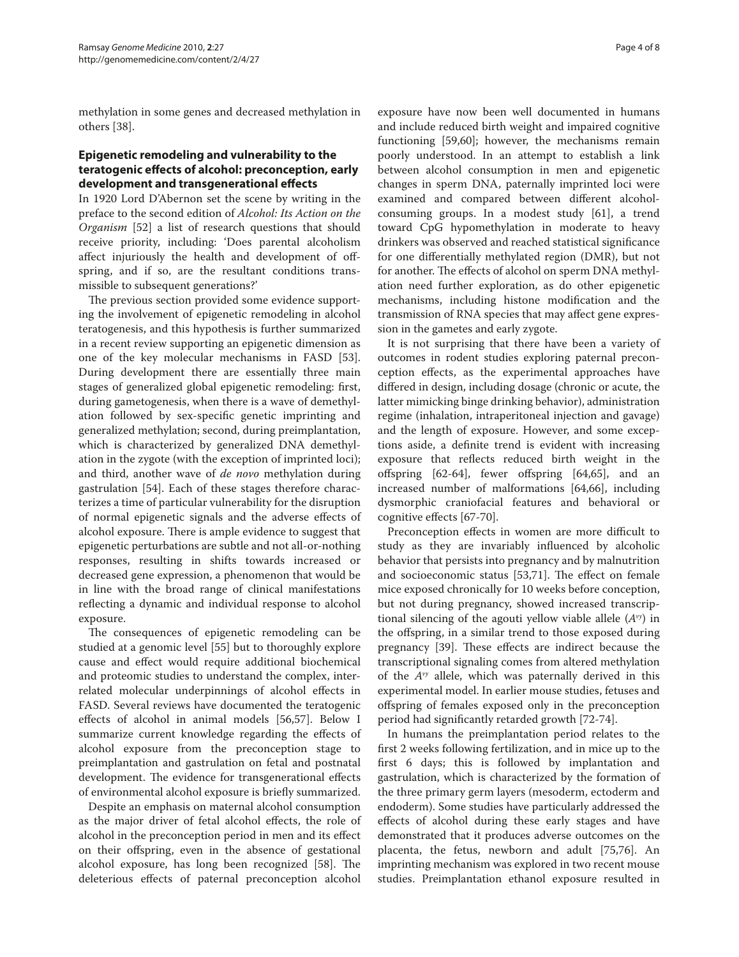methylation in some genes and decreased methylation in others [38].

### **Epigenetic remodeling and vulnerability to the teratogenic effects of alcohol: preconception, early development and transgenerational effects**

In 1920 Lord D'Abernon set the scene by writing in the preface to the second edition of *Alcohol: Its Action on the Organism* [52] a list of research questions that should receive priority, including: 'Does parental alcoholism affect injuriously the health and development of offspring, and if so, are the resultant conditions transmissible to subsequent generations?'

The previous section provided some evidence supporting the involvement of epigenetic remodeling in alcohol teratogenesis, and this hypothesis is further summarized in a recent review supporting an epigenetic dimension as one of the key molecular mechanisms in FASD [53]. During development there are essentially three main stages of generalized global epigenetic remodeling: first, during gametogenesis, when there is a wave of demethylation followed by sex-specific genetic imprinting and generalized methylation; second, during preimplantation, which is characterized by generalized DNA demethylation in the zygote (with the exception of imprinted loci); and third, another wave of *de novo* methylation during gastrulation [54]. Each of these stages therefore characterizes a time of particular vulnerability for the disruption of normal epigenetic signals and the adverse effects of alcohol exposure. There is ample evidence to suggest that epigenetic perturbations are subtle and not all-or-nothing responses, resulting in shifts towards increased or decreased gene expression, a phenomenon that would be in line with the broad range of clinical manifestations reflecting a dynamic and individual response to alcohol exposure.

The consequences of epigenetic remodeling can be studied at a genomic level [55] but to thoroughly explore cause and effect would require additional biochemical and proteomic studies to understand the complex, interrelated molecular underpinnings of alcohol effects in FASD. Several reviews have documented the teratogenic effects of alcohol in animal models [56,57]. Below I summarize current knowledge regarding the effects of alcohol exposure from the preconception stage to preimplantation and gastrulation on fetal and postnatal development. The evidence for transgenerational effects of environmental alcohol exposure is briefly summarized.

Despite an emphasis on maternal alcohol consumption as the major driver of fetal alcohol effects, the role of alcohol in the preconception period in men and its effect on their offspring, even in the absence of gestational alcohol exposure, has long been recognized [58]. The deleterious effects of paternal preconception alcohol

exposure have now been well documented in humans and include reduced birth weight and impaired cognitive functioning [59,60]; however, the mechanisms remain poorly understood. In an attempt to establish a link between alcohol consumption in men and epigenetic changes in sperm DNA, paternally imprinted loci were examined and compared between different alcoholconsuming groups. In a modest study [61], a trend toward CpG hypomethylation in moderate to heavy drinkers was observed and reached statistical significance for one differentially methylated region (DMR), but not for another. The effects of alcohol on sperm DNA methylation need further exploration, as do other epigenetic mechanisms, including histone modification and the transmission of RNA species that may affect gene expression in the gametes and early zygote.

It is not surprising that there have been a variety of outcomes in rodent studies exploring paternal preconception effects, as the experimental approaches have differed in design, including dosage (chronic or acute, the latter mimicking binge drinking behavior), administration regime (inhalation, intraperitoneal injection and gavage) and the length of exposure. However, and some exceptions aside, a definite trend is evident with increasing exposure that reflects reduced birth weight in the offspring [62-64], fewer offspring [64,65], and an increased number of malformations [64,66], including dysmorphic craniofacial features and behavioral or cognitive effects [67-70].

Preconception effects in women are more difficult to study as they are invariably influenced by alcoholic behavior that persists into pregnancy and by malnutrition and socioeconomic status [53,71]. The effect on female mice exposed chronically for 10 weeks before conception, but not during pregnancy, showed increased transcriptional silencing of the agouti yellow viable allele (*Avy*) in the offspring, in a similar trend to those exposed during pregnancy [39]. These effects are indirect because the transcriptional signaling comes from altered methylation of the *Avy* allele, which was paternally derived in this experimental model. In earlier mouse studies, fetuses and offspring of females exposed only in the preconception period had significantly retarded growth [72-74].

In humans the preimplantation period relates to the first 2 weeks following fertilization, and in mice up to the first 6 days; this is followed by implantation and gastrulation, which is characterized by the formation of the three primary germ layers (mesoderm, ectoderm and endoderm). Some studies have particularly addressed the effects of alcohol during these early stages and have demonstrated that it produces adverse outcomes on the placenta, the fetus, newborn and adult [75,76]. An imprinting mechanism was explored in two recent mouse studies. Preimplantation ethanol exposure resulted in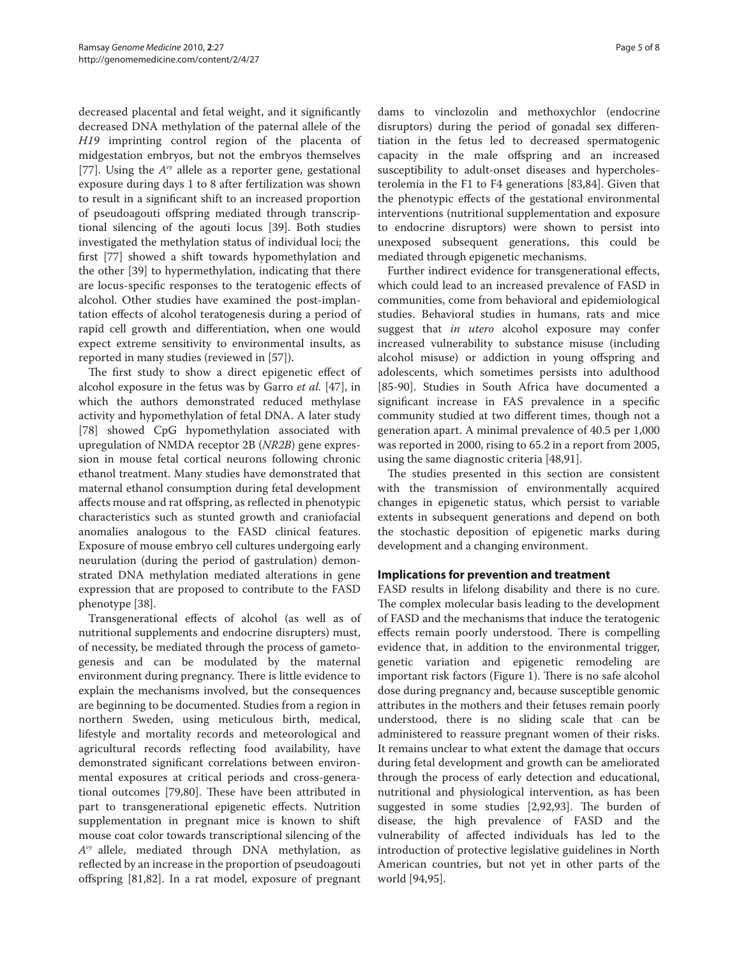decreased placental and fetal weight, and it significantly decreased DNA methylation of the paternal allele of the *H19* imprinting control region of the placenta of midgestation embryos, but not the embryos themselves [77]. Using the *Avy* allele as a reporter gene, gestational exposure during days 1 to 8 after fertilization was shown to result in a significant shift to an increased proportion of pseudoagouti offspring mediated through transcriptional silencing of the agouti locus [39]. Both studies investigated the methylation status of individual loci; the first [77] showed a shift towards hypomethylation and the other [39] to hypermethylation, indicating that there are locus-specific responses to the teratogenic effects of alcohol. Other studies have examined the post-implantation effects of alcohol teratogenesis during a period of rapid cell growth and differentiation, when one would expect extreme sensitivity to environmental insults, as reported in many studies (reviewed in [57]).

The first study to show a direct epigenetic effect of alcohol exposure in the fetus was by Garro *et al.* [47], in which the authors demonstrated reduced methylase activity and hypomethylation of fetal DNA. A later study [78] showed CpG hypomethylation associated with upregulation of NMDA receptor 2B (*NR2B*) gene expression in mouse fetal cortical neurons following chronic ethanol treatment. Many studies have demonstrated that maternal ethanol consumption during fetal development affects mouse and rat offspring, as reflected in phenotypic characteristics such as stunted growth and craniofacial anomalies analogous to the FASD clinical features. Exposure of mouse embryo cell cultures undergoing early neurulation (during the period of gastrulation) demonstrated DNA methylation mediated alterations in gene expression that are proposed to contribute to the FASD phenotype [38].

Transgenerational effects of alcohol (as well as of nutritional supplements and endocrine disrupters) must, of necessity, be mediated through the process of gametogenesis and can be modulated by the maternal environment during pregnancy. There is little evidence to explain the mechanisms involved, but the consequences are beginning to be documented. Studies from a region in northern Sweden, using meticulous birth, medical, lifestyle and mortality records and meteorological and agricultural records reflecting food availability, have demonstrated significant correlations between environmental exposures at critical periods and cross-generational outcomes [79,80]. These have been attributed in part to transgenerational epigenetic effects. Nutrition supplementation in pregnant mice is known to shift mouse coat color towards transcriptional silencing of the *Avy* allele, mediated through DNA methylation, as reflected by an increase in the proportion of pseudoagouti offspring [81,82]. In a rat model, exposure of pregnant dams to vinclozolin and methoxychlor (endocrine disruptors) during the period of gonadal sex differentiation in the fetus led to decreased spermatogenic capacity in the male offspring and an increased susceptibility to adult-onset diseases and hypercholesterolemia in the F1 to F4 generations [83,84]. Given that the phenotypic effects of the gestational environmental interventions (nutritional supplementation and exposure to endocrine disruptors) were shown to persist into unexposed subsequent generations, this could be mediated through epigenetic mechanisms.

Further indirect evidence for transgenerational effects, which could lead to an increased prevalence of FASD in communities, come from behavioral and epidemiological studies. Behavioral studies in humans, rats and mice suggest that *in utero* alcohol exposure may confer increased vulnerability to substance misuse (including alcohol misuse) or addiction in young offspring and adolescents, which sometimes persists into adulthood [85-90]. Studies in South Africa have documented a significant increase in FAS prevalence in a specific community studied at two different times, though not a generation apart. A minimal prevalence of 40.5 per 1,000 was reported in 2000, rising to 65.2 in a report from 2005, using the same diagnostic criteria [48,91].

The studies presented in this section are consistent with the transmission of environmentally acquired changes in epigenetic status, which persist to variable extents in subsequent generations and depend on both the stochastic deposition of epigenetic marks during development and a changing environment.

#### **Implications for prevention and treatment**

FASD results in lifelong disability and there is no cure. The complex molecular basis leading to the development of FASD and the mechanisms that induce the teratogenic effects remain poorly understood. There is compelling evidence that, in addition to the environmental trigger, genetic variation and epigenetic remodeling are important risk factors (Figure 1). There is no safe alcohol dose during pregnancy and, because susceptible genomic attributes in the mothers and their fetuses remain poorly understood, there is no sliding scale that can be administered to reassure pregnant women of their risks. It remains unclear to what extent the damage that occurs during fetal development and growth can be ameliorated through the process of early detection and educational, nutritional and physiological intervention, as has been suggested in some studies [2,92,93]. The burden of disease, the high prevalence of FASD and the vulnerability of affected individuals has led to the introduction of protective legislative guidelines in North American countries, but not yet in other parts of the world [94,95].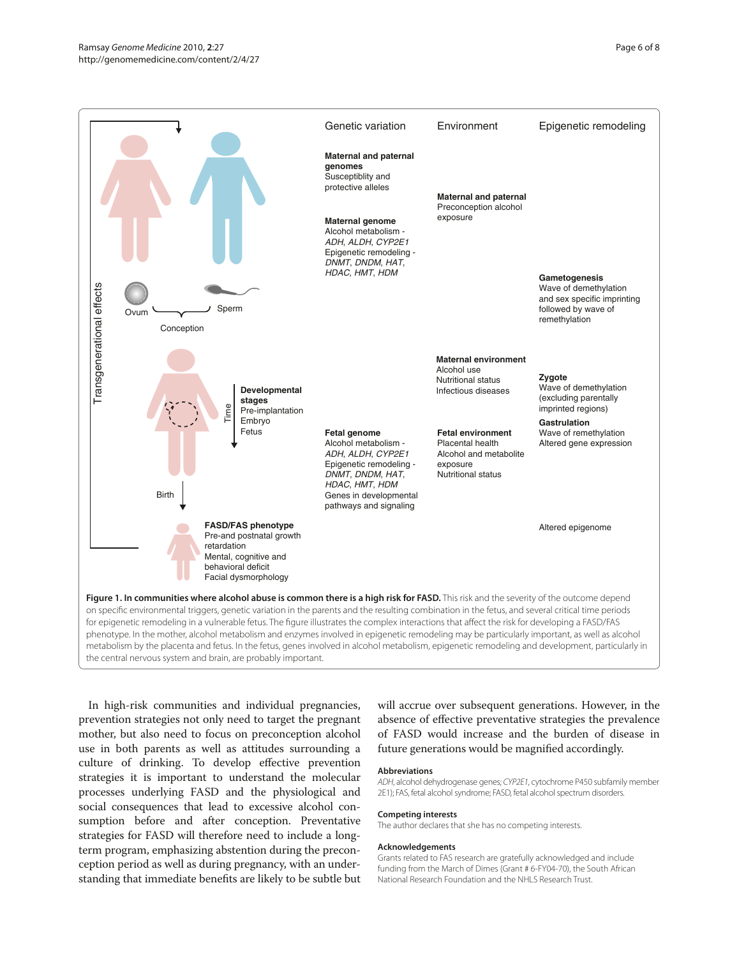

In high-risk communities and individual pregnancies, prevention strategies not only need to target the pregnant mother, but also need to focus on preconception alcohol use in both parents as well as attitudes surrounding a culture of drinking. To develop effective prevention strategies it is important to understand the molecular processes underlying FASD and the physiological and social consequences that lead to excessive alcohol consumption before and after conception. Preventative strategies for FASD will therefore need to include a longterm program, emphasizing abstention during the preconception period as well as during pregnancy, with an understanding that immediate benefits are likely to be subtle but

will accrue over subsequent generations. However, in the absence of effective preventative strategies the prevalence of FASD would increase and the burden of disease in future generations would be magnified accordingly.

#### **Abbreviations**

*ADH*, alcohol dehydrogenase genes; *CYP2E1*, cytochrome P450 subfamily member 2E1); FAS, fetal alcohol syndrome; FASD, fetal alcohol spectrum disorders.

#### **Competing interests**

The author declares that she has no competing interests.

#### **Acknowledgements**

Grants related to FAS research are gratefully acknowledged and include funding from the March of Dimes (Grant # 6-FY04-70), the South African National Research Foundation and the NHLS Research Trust.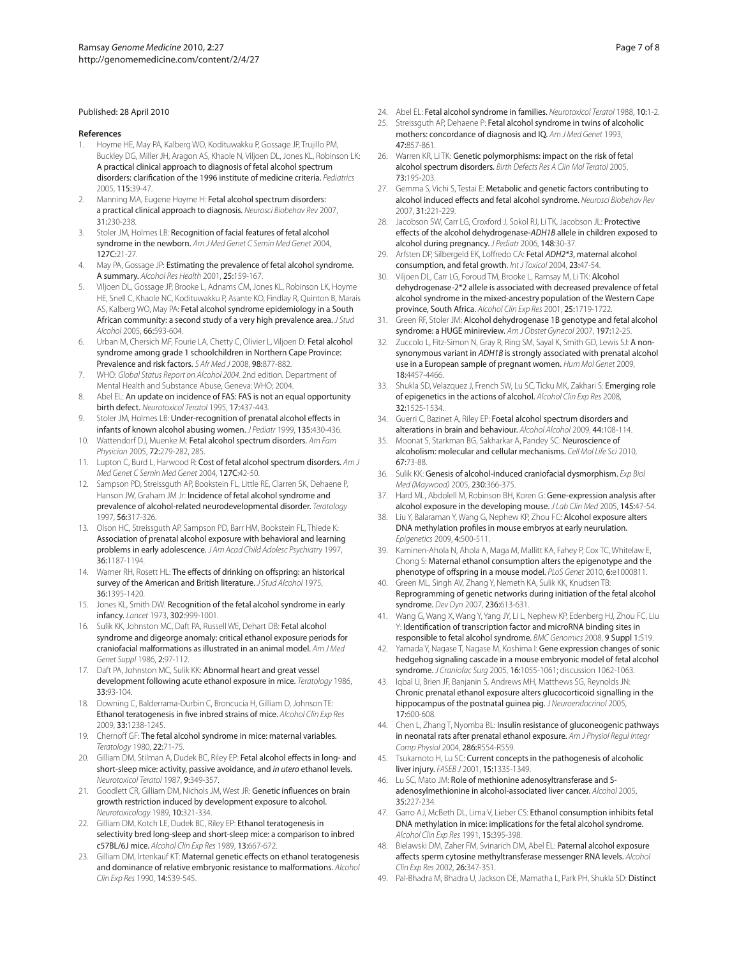#### Published: 28 April 2010

#### **References**

- 1. Hoyme HE, May PA, Kalberg WO, Kodituwakku P, Gossage JP, Trujillo PM, Buckley DG, Miller JH, Aragon AS, Khaole N, Viljoen DL, Jones KL, Robinson LK: A practical clinical approach to diagnosis of fetal alcohol spectrum disorders: clarification of the 1996 institute of medicine criteria. *Pediatrics* 2005, 115:39-47.
- 2. Manning MA, Eugene Hoyme H: Fetal alcohol spectrum disorders: a practical clinical approach to diagnosis. *Neurosci Biobehav Rev* 2007, 31:230-238.
- 3. Stoler JM, Holmes LB: Recognition of facial features of fetal alcohol syndrome in the newborn. *Am J Med Genet C Semin Med Genet* 2004, 127C:21-27.
- May PA, Gossage JP: Estimating the prevalence of fetal alcohol syndrome. A summary. *Alcohol Res Health* 2001, 25:159-167.
- 5. Viljoen DL, Gossage JP, Brooke L, Adnams CM, Jones KL, Robinson LK, Hoyme HE, Snell C, Khaole NC, Kodituwakku P, Asante KO, Findlay R, Quinton B, Marais AS, Kalberg WO, May PA: Fetal alcohol syndrome epidemiology in a South African community: a second study of a very high prevalence area. *J Stud Alcohol* 2005, 66:593-604.
- 6. Urban M, Chersich MF, Fourie LA, Chetty C, Olivier L, Viljoen D: Fetal alcohol syndrome among grade 1 schoolchildren in Northern Cape Province: Prevalence and risk factors. *S Afr Med J* 2008, 98:877-882.
- 7. WHO: *Global Status Report on Alcohol 2004*. 2nd edition. Department of Mental Health and Substance Abuse, Geneva: WHO; 2004.
- 8. Abel EL: An update on incidence of FAS: FAS is not an equal opportunity birth defect. *Neurotoxicol Teratol* 1995, 17:437-443.
- 9. Stoler JM, Holmes LB: Under-recognition of prenatal alcohol effects in infants of known alcohol abusing women. *J Pediatr* 1999, 135:430-436.
- 10. Wattendorf DJ, Muenke M: Fetal alcohol spectrum disorders. *Am Fam Physician* 2005, 72:279-282, 285.
- 11. Lupton C, Burd L, Harwood R: Cost of fetal alcohol spectrum disorders. *Am J Med Genet C Semin Med Genet* 2004, 127C:42-50.
- 12. Sampson PD, Streissguth AP, Bookstein FL, Little RE, Clarren SK, Dehaene P, Hanson JW, Graham JM Jr: Incidence of fetal alcohol syndrome and prevalence of alcohol-related neurodevelopmental disorder. *Teratology* 1997, 56:317-326.
- 13. Olson HC, Streissguth AP, Sampson PD, Barr HM, Bookstein FL, Thiede K: Association of prenatal alcohol exposure with behavioral and learning problems in early adolescence. *J Am Acad Child Adolesc Psychiatry* 1997, 36:1187-1194.
- 14. Warner RH, Rosett HL: The effects of drinking on offspring: an historical survey of the American and British literature. *J Stud Alcohol* 1975, 36:1395-1420.
- 15. Jones KL, Smith DW: Recognition of the fetal alcohol syndrome in early infancy. *Lancet* 1973, 302:999-1001.
- 16. Sulik KK, Johnston MC, Daft PA, Russell WE, Dehart DB: Fetal alcohol syndrome and digeorge anomaly: critical ethanol exposure periods for craniofacial malformations as illustrated in an animal model. *Am J Med Genet Suppl* 1986, 2:97-112.
- 17. Daft PA, Johnston MC, Sulik KK: Abnormal heart and great vessel development following acute ethanol exposure in mice. *Teratology* 1986, 33:93-104.
- 18. Downing C, Balderrama-Durbin C, Broncucia H, Gilliam D, Johnson TE: Ethanol teratogenesis in five inbred strains of mice. *Alcohol Clin Exp Res* 2009, 33:1238-1245.
- 19. Chernoff GF: The fetal alcohol syndrome in mice: maternal variables. *Teratology* 1980, 22:71-75.
- 20. Gilliam DM, Stilman A, Dudek BC, Riley EP: Fetal alcohol effects in long- and short-sleep mice: activity, passive avoidance, and *in utero* ethanol levels. *Neurotoxicol Teratol* 1987, 9:349-357.
- 21. Goodlett CR, Gilliam DM, Nichols JM, West JR: Genetic influences on brain growth restriction induced by development exposure to alcohol. *Neurotoxicology* 1989, 10:321-334.
- 22. Gilliam DM, Kotch LE, Dudek BC, Riley EP: Ethanol teratogenesis in selectivity bred long-sleep and short-sleep mice: a comparison to inbred c57BL/6J mice. *Alcohol Clin Exp Res* 1989, 13:667-672.
- 23. Gilliam DM, Irtenkauf KT: Maternal genetic effects on ethanol teratogenesis and dominance of relative embryonic resistance to malformations. *Alcohol Clin Exp Res* 1990, 14:539-545.
- 24. Abel EL: Fetal alcohol syndrome in families. *Neurotoxicol Teratol* 1988, 10:1-2.
- 25. Streissguth AP, Dehaene P: Fetal alcohol syndrome in twins of alcoholic mothers: concordance of diagnosis and IQ. *Am J Med Genet* 1993, 47:857-861.
- 26. Warren KR, Li TK: Genetic polymorphisms: impact on the risk of fetal alcohol spectrum disorders. *Birth Defects Res A Clin Mol Teratol* 2005, 73:195-203.
- 27. Gemma S, Vichi S, Testai E: Metabolic and genetic factors contributing to alcohol induced effects and fetal alcohol syndrome. *Neurosci Biobehav Rev* 2007, 31:221-229.
- 28. Jacobson SW, Carr LG, Croxford J, Sokol RJ, Li TK, Jacobson JL: Protective effects of the alcohol dehydrogenase-*ADH1B* allele in children exposed to alcohol during pregnancy. *J Pediatr* 2006, 148:30-37.
- 29. Arfsten DP, Silbergeld EK, Loffredo CA: Fetal *ADH2\*3*, maternal alcohol consumption, and fetal growth. *Int J Toxicol* 2004, 23:47-54.
- 30. Viljoen DL, Carr LG, Foroud TM, Brooke L, Ramsay M, Li TK: Alcohol dehydrogenase-2\*2 allele is associated with decreased prevalence of fetal alcohol syndrome in the mixed-ancestry population of the Western Cape province, South Africa. *Alcohol Clin Exp Res* 2001, 25:1719-1722.
- 31. Green RF, Stoler JM: Alcohol dehydrogenase 1B genotype and fetal alcohol syndrome: a HUGE minireview. *Am J Obstet Gynecol* 2007, 197:12-25.
- 32. Zuccolo L, Fitz-Simon N, Gray R, Ring SM, Sayal K, Smith GD, Lewis SJ: A nonsynonymous variant in *ADH1B* is strongly associated with prenatal alcohol use in a European sample of pregnant women. *Hum Mol Genet* 2009, 18:4457-4466.
- 33. Shukla SD, Velazquez J, French SW, Lu SC, Ticku MK, Zakhari S: Emerging role of epigenetics in the actions of alcohol. *Alcohol Clin Exp Res* 2008, 32:1525-1534.
- 34. Guerri C, Bazinet A, Riley EP: Foetal alcohol spectrum disorders and alterations in brain and behaviour. *Alcohol Alcohol* 2009, 44:108-114.
- 35. Moonat S, Starkman BG, Sakharkar A, Pandey SC: Neuroscience of alcoholism: molecular and cellular mechanisms. *Cell Mol Life Sci* 2010, 67:73-88.
- 36. Sulik KK: Genesis of alcohol-induced craniofacial dysmorphism. *Exp Biol Med (Maywood)* 2005, 230:366-375.
- 37. Hard ML, Abdolell M, Robinson BH, Koren G: Gene-expression analysis after alcohol exposure in the developing mouse. *J Lab Clin Med* 2005, 145:47-54.
- 38. Liu Y, Balaraman Y, Wang G, Nephew KP, Zhou FC: Alcohol exposure alters DNA methylation profiles in mouse embryos at early neurulation. *Epigenetics* 2009, 4:500-511.
- 39. Kaminen-Ahola N, Ahola A, Maga M, Mallitt KA, Fahey P, Cox TC, Whitelaw E, Chong S: Maternal ethanol consumption alters the epigenotype and the phenotype of offspring in a mouse model. *PLoS Genet* 2010, 6:e1000811.
- 40. Green ML, Singh AV, Zhang Y, Nemeth KA, Sulik KK, Knudsen TB: Reprogramming of genetic networks during initiation of the fetal alcohol syndrome. *Dev Dyn* 2007, 236:613-631.
- 41. Wang G, Wang X, Wang Y, Yang JY, Li L, Nephew KP, Edenberg HJ, Zhou FC, Liu Y: Identification of transcription factor and microRNA binding sites in responsible to fetal alcohol syndrome. *BMC Genomics* 2008, 9 Suppl 1:S19.
- 42. Yamada Y, Nagase T, Nagase M, Koshima I: Gene expression changes of sonic hedgehog signaling cascade in a mouse embryonic model of fetal alcohol syndrome. *J Craniofac Surg* 2005, 16:1055-1061; discussion 1062-1063.
- 43. Iqbal U, Brien JF, Banjanin S, Andrews MH, Matthews SG, Reynolds JN: Chronic prenatal ethanol exposure alters glucocorticoid signalling in the hippocampus of the postnatal guinea pig. *J Neuroendocrinol* 2005, 17:600-608.
- 44. Chen L, Zhang T, Nyomba BL: Insulin resistance of gluconeogenic pathways in neonatal rats after prenatal ethanol exposure. *Am J Physiol Regul Integr Comp Physiol* 2004, 286:R554-R559.
- 45. Tsukamoto H, Lu SC: Current concepts in the pathogenesis of alcoholic liver injury. *FASEB J* 2001, 15:1335-1349.
- 46. Lu SC, Mato JM: Role of methionine adenosyltransferase and Sadenosylmethionine in alcohol-associated liver cancer. *Alcohol* 2005,  $35:227-234$
- 47. Garro AJ, McBeth DL, Lima V, Lieber CS: Ethanol consumption inhibits fetal DNA methylation in mice: implications for the fetal alcohol syndrome. *Alcohol Clin Exp Res* 1991, 15:395-398.
- 48. Bielawski DM, Zaher FM, Svinarich DM, Abel EL: Paternal alcohol exposure affects sperm cytosine methyltransferase messenger RNA levels. *Alcohol Clin Exp Res* 2002, 26:347-351.
- 49. Pal-Bhadra M, Bhadra U, Jackson DE, Mamatha L, Park PH, Shukla SD: Distinct